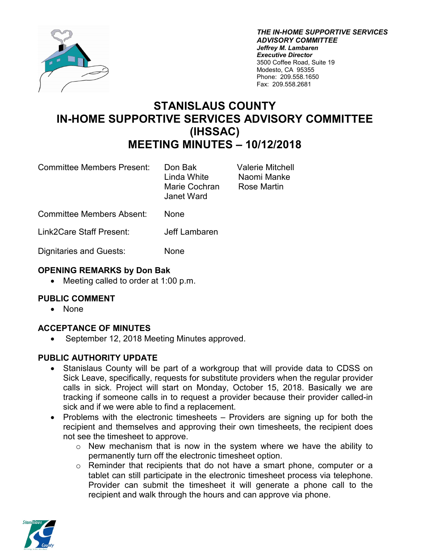

*THE IN-HOME SUPPORTIVE SERVICES ADVISORY COMMITTEE Jeffrey M. Lambaren Executive Director* 3500 Coffee Road, Suite 19 Modesto, CA 95355 Phone: 209.558.1650 Fax: 209.558.2681

# **STANISLAUS COUNTY IN-HOME SUPPORTIVE SERVICES ADVISORY COMMITTEE (IHSSAC) MEETING MINUTES – 10/12/2018**

Committee Members Present: Don Bak Valerie Mitchell

Naomi Manke Rose Martin

Committee Members Absent: None

Link2Care Staff Present: Jeff Lambaren

Dignitaries and Guests: None

# **OPENING REMARKS by Don Bak**

• Meeting called to order at 1:00 p.m.

# **PUBLIC COMMENT**

• None

# **ACCEPTANCE OF MINUTES**

• September 12, 2018 Meeting Minutes approved.

# **PUBLIC AUTHORITY UPDATE**

- Stanislaus County will be part of a workgroup that will provide data to CDSS on Sick Leave, specifically, requests for substitute providers when the regular provider calls in sick. Project will start on Monday, October 15, 2018. Basically we are tracking if someone calls in to request a provider because their provider called-in sick and if we were able to find a replacement.
- Problems with the electronic timesheets Providers are signing up for both the recipient and themselves and approving their own timesheets, the recipient does not see the timesheet to approve.
	- $\circ$  New mechanism that is now in the system where we have the ability to permanently turn off the electronic timesheet option.
	- o Reminder that recipients that do not have a smart phone, computer or a tablet can still participate in the electronic timesheet process via telephone. Provider can submit the timesheet it will generate a phone call to the recipient and walk through the hours and can approve via phone.

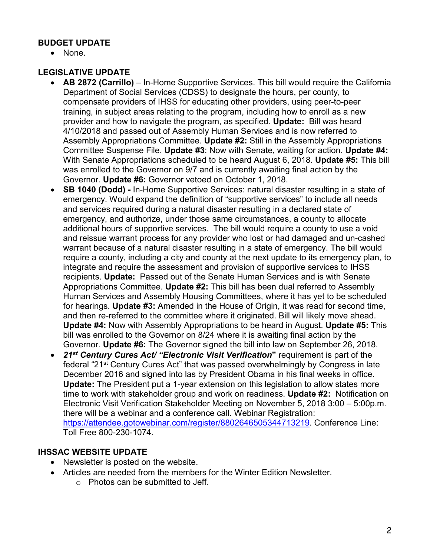# **BUDGET UPDATE**

• None.

# **LEGISLATIVE UPDATE**

- **AB 2872 (Carrillo)** In-Home Supportive Services. This bill would require the California Department of Social Services (CDSS) to designate the hours, per county, to compensate providers of IHSS for educating other providers, using peer-to-peer training, in subject areas relating to the program, including how to enroll as a new provider and how to navigate the program, as specified*.* **Update:** Bill was heard 4/10/2018 and passed out of Assembly Human Services and is now referred to Assembly Appropriations Committee. **Update #2:** Still in the Assembly Appropriations Committee Suspense File. **Update #3**: Now with Senate, waiting for action. **Update #4:** With Senate Appropriations scheduled to be heard August 6, 2018. **Update #5:** This bill was enrolled to the Governor on 9/7 and is currently awaiting final action by the Governor. **Update #6:** Governor vetoed on October 1, 2018.
- **SB 1040 (Dodd) -** In-Home Supportive Services: natural disaster resulting in a state of emergency. Would expand the definition of "supportive services" to include all needs and services required during a natural disaster resulting in a declared state of emergency, and authorize, under those same circumstances, a county to allocate additional hours of supportive services. The bill would require a county to use a void and reissue warrant process for any provider who lost or had damaged and un-cashed warrant because of a natural disaster resulting in a state of emergency. The bill would require a county, including a city and county at the next update to its emergency plan, to integrate and require the assessment and provision of supportive services to IHSS recipients. **Update:** Passed out of the Senate Human Services and is with Senate Appropriations Committee. **Update #2:** This bill has been dual referred to Assembly Human Services and Assembly Housing Committees, where it has yet to be scheduled for hearings. **Update #3:** Amended in the House of Origin, it was read for second time, and then re-referred to the committee where it originated. Bill will likely move ahead. **Update #4:** Now with Assembly Appropriations to be heard in August. **Update #5:** This bill was enrolled to the Governor on 8/24 where it is awaiting final action by the Governor. **Update #6:** The Governor signed the bill into law on September 26, 2018.
- *21st Century Cures Act/ "Electronic Visit Verification***"** requirement is part of the federal "21st Century Cures Act" that was passed overwhelmingly by Congress in late December 2016 and signed into las by President Obama in his final weeks in office. **Update:** The President put a 1-year extension on this legislation to allow states more time to work with stakeholder group and work on readiness. **Update #2:** Notification on Electronic Visit Verification Stakeholder Meeting on November 5, 2018 3:00 – 5:00p.m. there will be a webinar and a conference call. Webinar Registration: [https://attendee.gotowebinar.com/register/8802646505344713219.](https://attendee.gotowebinar.com/register/8802646505344713219) Conference Line: Toll Free 800-230-1074.

#### **IHSSAC WEBSITE UPDATE**

- Newsletter is posted on the website.
- Articles are needed from the members for the Winter Edition Newsletter.
	- o Photos can be submitted to Jeff.